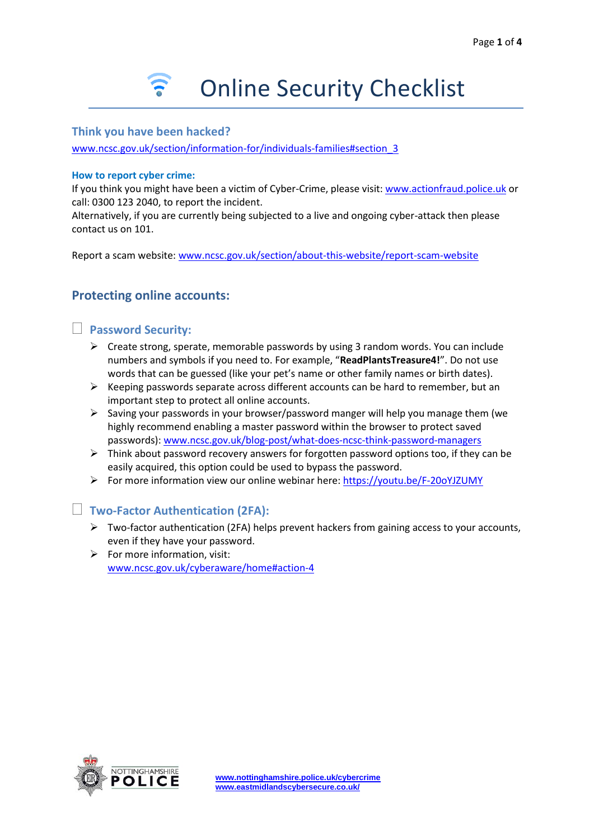### **Think you have been hacked?**

[www.ncsc.gov.uk/section/information-for/individuals-families#section\\_3](http://www.ncsc.gov.uk/section/information-for/individuals-families#section_3)

#### **How to report cyber crime:**

If you think you might have been a victim of Cyber-Crime, please visit: [www.actionfraud.police.uk](http://www.actionfraud.police.uk/) or call: 0300 123 2040, to report the incident.

Alternatively, if you are currently being subjected to a live and ongoing cyber-attack then please contact us on 101.

Report a scam website: [www.ncsc.gov.uk/section/about-this-website/report-scam-website](http://www.ncsc.gov.uk/section/about-this-website/report-scam-website)

# **Protecting online accounts:**

### **Password Security:**

- $\triangleright$  Create strong, sperate, memorable passwords by using 3 random words. You can include numbers and symbols if you need to. For example, "**ReadPlantsTreasure4!**". Do not use words that can be guessed (like your pet's name or other family names or birth dates).
- $\triangleright$  Keeping passwords separate across different accounts can be hard to remember, but an important step to protect all online accounts.
- $\triangleright$  Saving your passwords in your browser/password manger will help you manage them (we highly recommend enabling a master password within the browser to protect saved passwords): [www.ncsc.gov.uk/blog-post/what-does-ncsc-think-password-managers](http://www.ncsc.gov.uk/blog-post/what-does-ncsc-think-password-managers)
- $\triangleright$  Think about password recovery answers for forgotten password options too, if they can be easily acquired, this option could be used to bypass the password.
- ➢ For more information view our online webinar here:<https://youtu.be/F-20oYJZUMY>

### **Two-Factor Authentication (2FA):**

- $\triangleright$  Two-factor authentication (2FA) helps prevent hackers from gaining access to your accounts, even if they have your password.
- $\triangleright$  For more information, visit: [www.ncsc.gov.uk/cyberaware/home#action-4](http://www.ncsc.gov.uk/cyberaware/home#action-4)

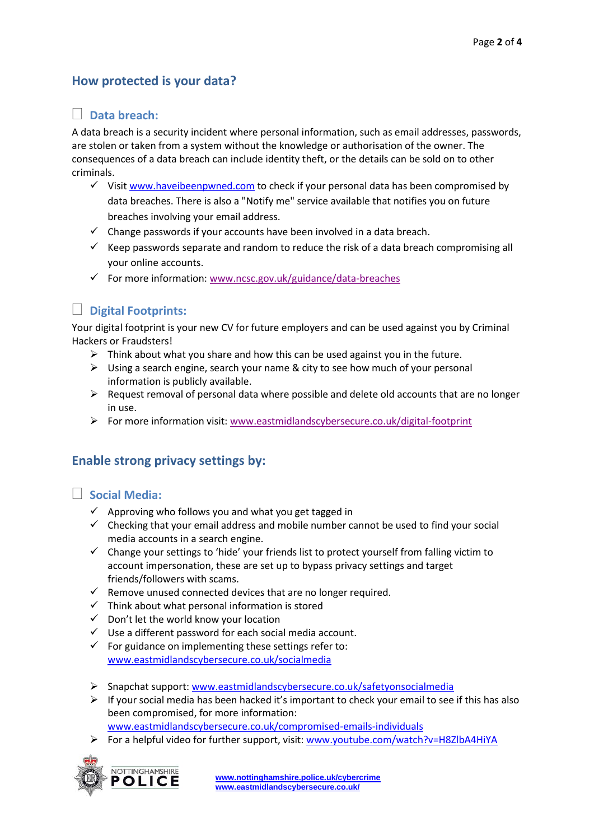# **How protected is your data?**

## **Data breach:**

A data breach is a security incident where personal information, such as email addresses, passwords, are stolen or taken from a system without the knowledge or authorisation of the owner. The consequences of a data breach can include identity theft, or the details can be sold on to other criminals.

- $\checkmark$  Visit [www.haveibeenpwned.com](http://www.haveibeenpwned.com/) to check if your personal data has been compromised by data breaches. There is also a "Notify me" service available that notifies you on future breaches involving your email address.
- $\checkmark$  Change passwords if your accounts have been involved in a data breach.
- $\checkmark$  Keep passwords separate and random to reduce the risk of a data breach compromising all your online accounts.
- ✓ For more information: [www.ncsc.gov.uk/guidance/data-breaches](http://www.ncsc.gov.uk/guidance/data-breaches)



# **Digital Footprints:**

Your digital footprint is your new CV for future employers and can be used against you by Criminal Hackers or Fraudsters!

- $\triangleright$  Think about what you share and how this can be used against you in the future.
- $\triangleright$  Using a search engine, search your name & city to see how much of your personal information is publicly available.
- $\triangleright$  Request removal of personal data where possible and delete old accounts that are no longer in use.
- ➢ For more information visit[: www.eastmidlandscybersecure.co.uk/digital-footprint](http://www.eastmidlandscybersecure.co.uk/digital-footprint)

# **Enable strong privacy settings by:**

### **Social Media:**

- $\checkmark$  Approving who follows you and what you get tagged in
- $\checkmark$  Checking that your email address and mobile number cannot be used to find your social media accounts in a search engine.
- ✓ Change your settings to 'hide' your friends list to protect yourself from falling victim to account impersonation, these are set up to bypass privacy settings and target friends/followers with scams.
- ✓ Remove unused connected devices that are no longer required.
- $\checkmark$  Think about what personal information is stored
- $\checkmark$  Don't let the world know your location
- $\checkmark$  Use a different password for each social media account.
- $\checkmark$  For guidance on implementing these settings refer to: [www.eastmidlandscybersecure.co.uk/socialmedia](http://www.eastmidlandscybersecure.co.uk/socialmedia)
- ➢ Snapchat support: [www.eastmidlandscybersecure.co.uk/safetyonsocialmedia](http://www.eastmidlandscybersecure.co.uk/safetyonsocialmedia)
- $\triangleright$  If your social media has been hacked it's important to check your email to see if this has also been compromised, for more information: [www.eastmidlandscybersecure.co.uk/compromised-emails-individuals](http://www.eastmidlandscybersecure.co.uk/compromised-emails-individuals)
- ➢ For a helpful video for further support, visit: [www.youtube.com/watch?v=H8ZlbA4HiYA](http://www.youtube.com/watch?v=H8ZlbA4HiYA)

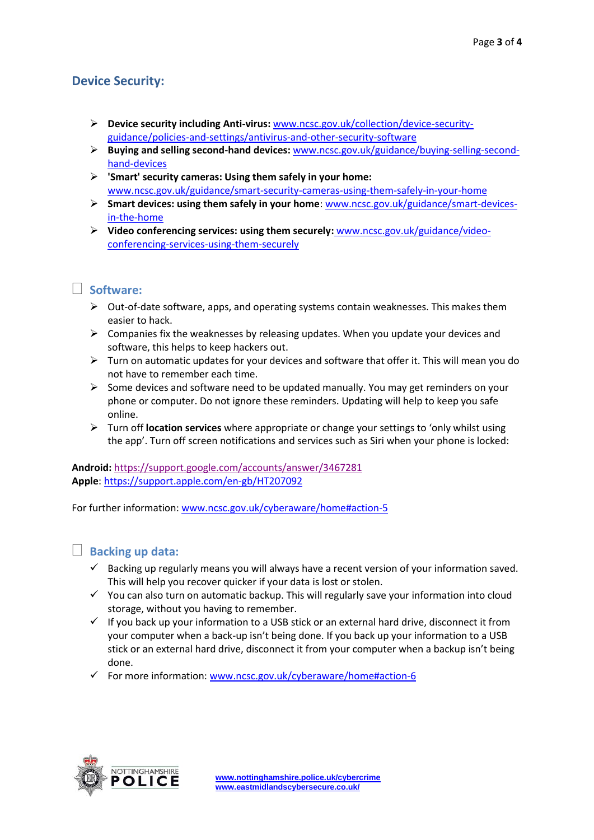# **Device Security:**

- ➢ **Device security including Anti-virus:** [www.ncsc.gov.uk/collection/device-security](http://www.ncsc.gov.uk/collection/device-security-guidance/policies-and-settings/antivirus-and-other-security-software)[guidance/policies-and-settings/antivirus-and-other-security-software](http://www.ncsc.gov.uk/collection/device-security-guidance/policies-and-settings/antivirus-and-other-security-software)
- ➢ **Buying and selling second-hand devices:** [www.ncsc.gov.uk/guidance/buying-selling-second](http://www.ncsc.gov.uk/guidance/buying-selling-second-hand-devices)[hand-devices](http://www.ncsc.gov.uk/guidance/buying-selling-second-hand-devices)
- ➢ **'Smart' security cameras: Using them safely in your home:**  [www.ncsc.gov.uk/guidance/smart-security-cameras-using-them-safely-in-your-home](http://www.ncsc.gov.uk/guidance/smart-security-cameras-using-them-safely-in-your-home)
- ➢ **Smart devices: using them safely in your home**: [www.ncsc.gov.uk/guidance/smart-devices](http://www.ncsc.gov.uk/guidance/smart-devices-in-the-home)[in-the-home](http://www.ncsc.gov.uk/guidance/smart-devices-in-the-home)
- ➢ **Video conferencing services: using them securely:** [www.ncsc.gov.uk/guidance/video](http://www.ncsc.gov.uk/guidance/video-conferencing-services-using-them-securely)[conferencing-services-using-them-securely](http://www.ncsc.gov.uk/guidance/video-conferencing-services-using-them-securely)

## **Software:**

- ➢ Out-of-date software, apps, and operating systems contain weaknesses. This makes them easier to hack.
- $\triangleright$  Companies fix the weaknesses by releasing updates. When you update your devices and software, this helps to keep hackers out.
- $\triangleright$  Turn on automatic updates for your devices and software that offer it. This will mean you do not have to remember each time.
- $\triangleright$  Some devices and software need to be updated manually. You may get reminders on your phone or computer. Do not ignore these reminders. Updating will help to keep you safe online.
- ➢ Turn off **location services** where appropriate or change your settings to 'only whilst using the app'. Turn off screen notifications and services such as Siri when your phone is locked:

**Android:** <https://support.google.com/accounts/answer/3467281> **Apple**:<https://support.apple.com/en-gb/HT207092>

For further information: [www.ncsc.gov.uk/cyberaware/home#action-5](http://www.ncsc.gov.uk/cyberaware/home#action-5)

### **Backing up data:**

- $\checkmark$  Backing up regularly means you will always have a recent version of your information saved. This will help you recover quicker if your data is lost or stolen.
- $\checkmark$  You can also turn on automatic backup. This will regularly save your information into cloud storage, without you having to remember.
- $\checkmark$  If you back up your information to a USB stick or an external hard drive, disconnect it from your computer when a back-up isn't being done. If you back up your information to a USB stick or an external hard drive, disconnect it from your computer when a backup isn't being done.
- ✓ For more information: [www.ncsc.gov.uk/cyberaware/home#action-6](http://www.ncsc.gov.uk/cyberaware/home#action-6)